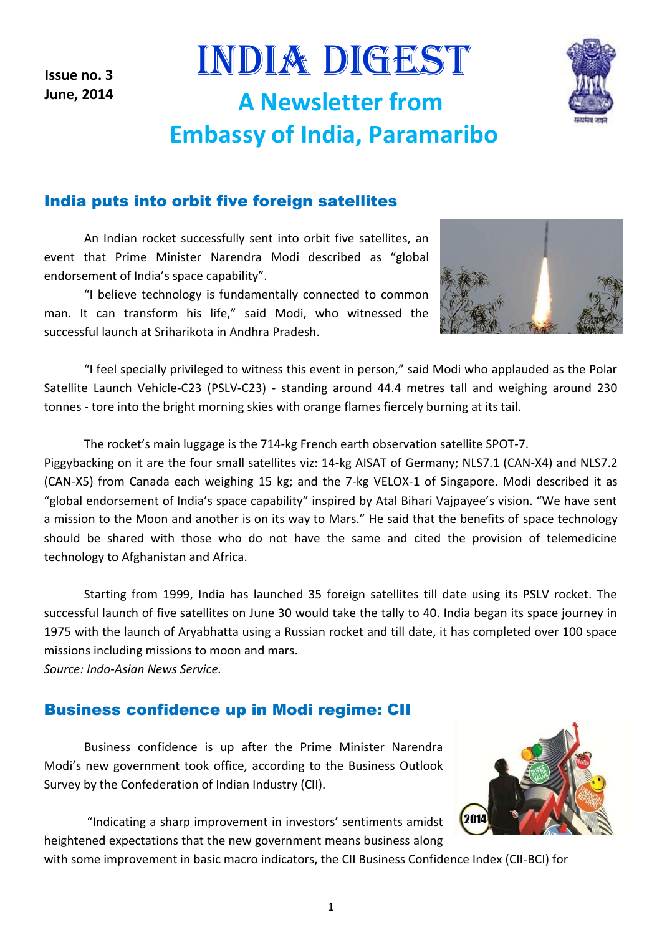**Issue no. 3 June, 2014**

INDIA DIGEST **A Newsletter from Embassy of India, Paramaribo**



#### India puts into orbit five foreign satellites

An Indian rocket successfully sent into orbit five satellites, an event that Prime Minister Narendra Modi described as "global endorsement of India's space capability".

"I believe technology is fundamentally connected to common man. It can transform his life," said Modi, who witnessed the successful launch at Sriharikota in Andhra Pradesh.



"I feel specially privileged to witness this event in person," said Modi who applauded as the Polar Satellite Launch Vehicle-C23 (PSLV-C23) - standing around 44.4 metres tall and weighing around 230 tonnes - tore into the bright morning skies with orange flames fiercely burning at its tail.

The rocket's main luggage is the 714-kg French earth observation satellite SPOT-7.

Piggybacking on it are the four small satellites viz: 14-kg AISAT of Germany; NLS7.1 (CAN-X4) and NLS7.2 (CAN-X5) from Canada each weighing 15 kg; and the 7-kg VELOX-1 of Singapore. Modi described it as "global endorsement of India's space capability" inspired by Atal Bihari Vajpayee's vision. "We have sent a mission to the Moon and another is on its way to Mars." He said that the benefits of space technology should be shared with those who do not have the same and cited the provision of telemedicine technology to Afghanistan and Africa.

Starting from 1999, India has launched 35 foreign satellites till date using its PSLV rocket. The successful launch of five satellites on June 30 would take the tally to 40. India began its space journey in 1975 with the launch of Aryabhatta using a Russian rocket and till date, it has completed over 100 space missions including missions to moon and mars.

*Source: Indo-Asian News Service.*

#### Business confidence up in Modi regime: CII

Business confidence is up after the Prime Minister Narendra Modi's new government took office, according to the Business Outlook Survey by the Confederation of Indian Industry (CII).

"Indicating a sharp improvement in investors' sentiments amidst heightened expectations that the new government means business along



with some improvement in basic macro indicators, the CII Business Confidence Index (CII-BCI) for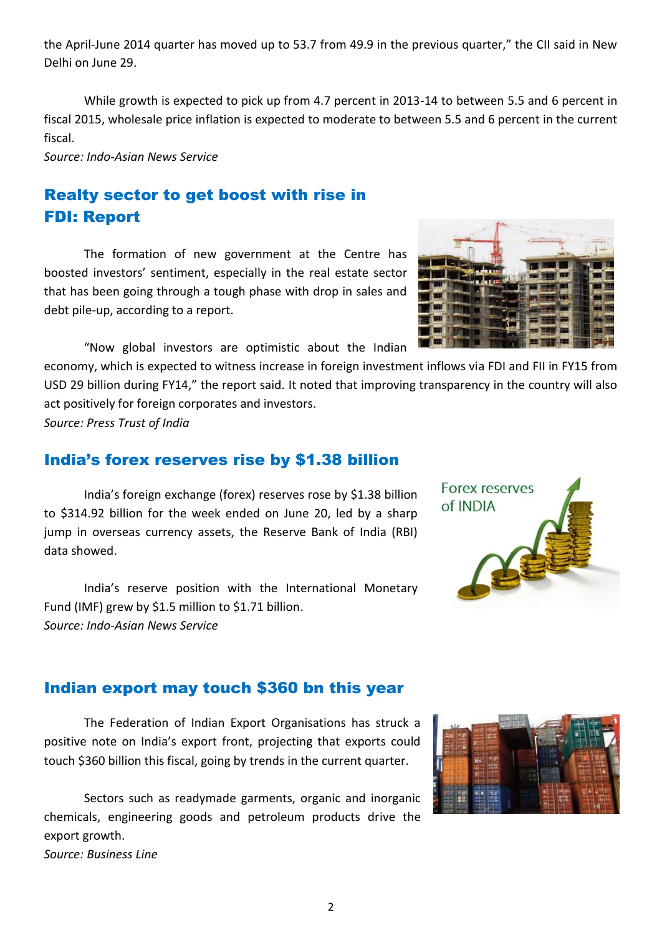the April-June 2014 quarter has moved up to 53.7 from 49.9 in the previous quarter," the CII said in New Delhi on June 29.

While growth is expected to pick up from 4.7 percent in 2013-14 to between 5.5 and 6 percent in fiscal 2015, wholesale price inflation is expected to moderate to between 5.5 and 6 percent in the current fiscal.

*Source: Indo-Asian News Service*

# Realty sector to get boost with rise in FDI: Report

The formation of new government at the Centre has boosted investors' sentiment, especially in the real estate sector that has been going through a tough phase with drop in sales and debt pile-up, according to a report.

"Now global investors are optimistic about the Indian

economy, which is expected to witness increase in foreign investment inflows via FDI and FII in FY15 from USD 29 billion during FY14," the report said. It noted that improving transparency in the country will also act positively for foreign corporates and investors.

*Source: Press Trust of India*

#### India's forex reserves rise by \$1.38 billion

India's foreign exchange (forex) reserves rose by \$1.38 billion to \$314.92 billion for the week ended on June 20, led by a sharp jump in overseas currency assets, the Reserve Bank of India (RBI) data showed.

India's reserve position with the International Monetary Fund (IMF) grew by \$1.5 million to \$1.71 billion. *Source: Indo-Asian News Service*

#### Indian export may touch \$360 bn this year

The Federation of Indian Export Organisations has struck a positive note on India's export front, projecting that exports could touch \$360 billion this fiscal, going by trends in the current quarter.

Sectors such as readymade garments, organic and inorganic chemicals, engineering goods and petroleum products drive the export growth. *Source: Business Line*



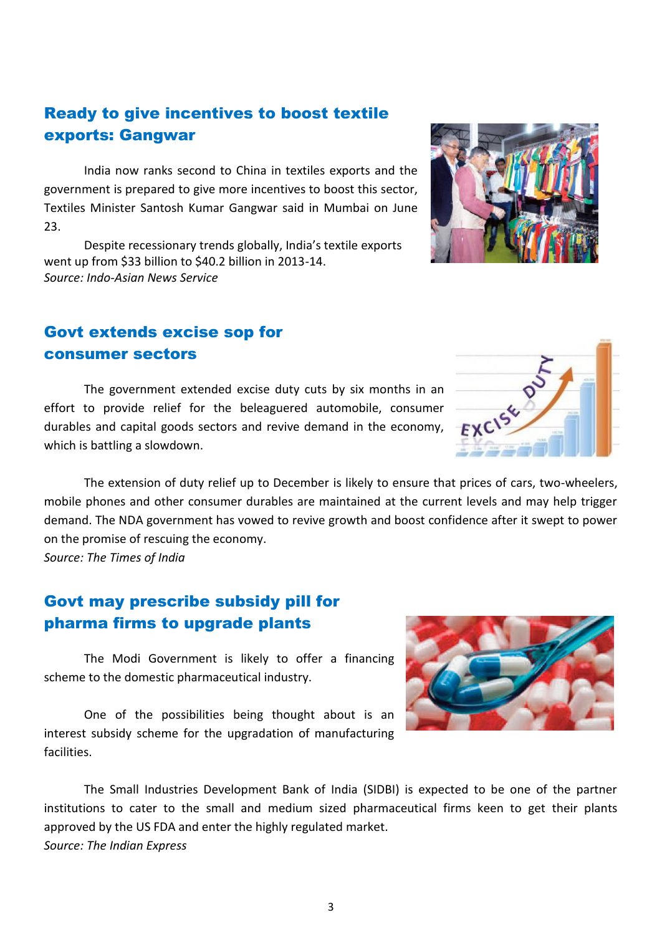## Ready to give incentives to boost textile exports: Gangwar

India now ranks second to China in textiles exports and the government is prepared to give more incentives to boost this sector, Textiles Minister Santosh Kumar Gangwar said in Mumbai on June 23.

Despite recessionary trends globally, India's textile exports went up from \$33 billion to \$40.2 billion in 2013-14. *Source: Indo-Asian News Service*

### Govt extends excise sop for consumer sectors

The government extended excise duty cuts by six months in an effort to provide relief for the beleaguered automobile, consumer durables and capital goods sectors and revive demand in the economy, which is battling a slowdown.

The extension of duty relief up to December is likely to ensure that prices of cars, two-wheelers, mobile phones and other consumer durables are maintained at the current levels and may help trigger demand. The NDA government has vowed to revive growth and boost confidence after it swept to power on the promise of rescuing the economy.

*Source: The Times of India*

#### Govt may prescribe subsidy pill for pharma firms to upgrade plants

The Modi Government is likely to offer a financing scheme to the domestic pharmaceutical industry.

One of the possibilities being thought about is an interest subsidy scheme for the upgradation of manufacturing facilities.

The Small Industries Development Bank of India (SIDBI) is expected to be one of the partner institutions to cater to the small and medium sized pharmaceutical firms keen to get their plants approved by the US FDA and enter the highly regulated market. *Source: The Indian Express* 

3